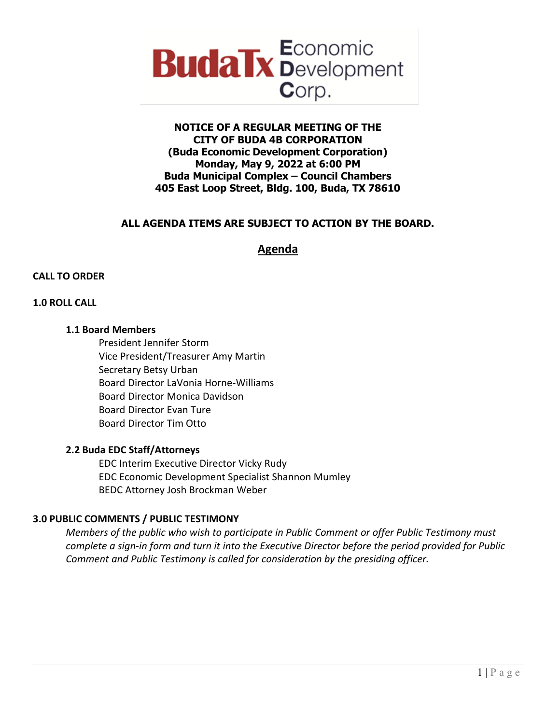

# **NOTICE OF A REGULAR MEETING OF THE CITY OF BUDA 4B CORPORATION (Buda Economic Development Corporation) Monday, May 9, 2022 at 6:00 PM Buda Municipal Complex – Council Chambers 405 East Loop Street, Bldg. 100, Buda, TX 78610**

# **ALL AGENDA ITEMS ARE SUBJECT TO ACTION BY THE BOARD.**

# **Agenda**

## **CALL TO ORDER**

## **1.0 ROLL CALL**

#### **1.1 Board Members**

President Jennifer Storm Vice President/Treasurer Amy Martin Secretary Betsy Urban Board Director LaVonia Horne-Williams Board Director Monica Davidson Board Director Evan Ture Board Director Tim Otto

#### **2.2 Buda EDC Staff/Attorneys**

EDC Interim Executive Director Vicky Rudy EDC Economic Development Specialist Shannon Mumley BEDC Attorney Josh Brockman Weber

## **3.0 PUBLIC COMMENTS / PUBLIC TESTIMONY**

*Members of the public who wish to participate in Public Comment or offer Public Testimony must complete a sign-in form and turn it into the Executive Director before the period provided for Public Comment and Public Testimony is called for consideration by the presiding officer.*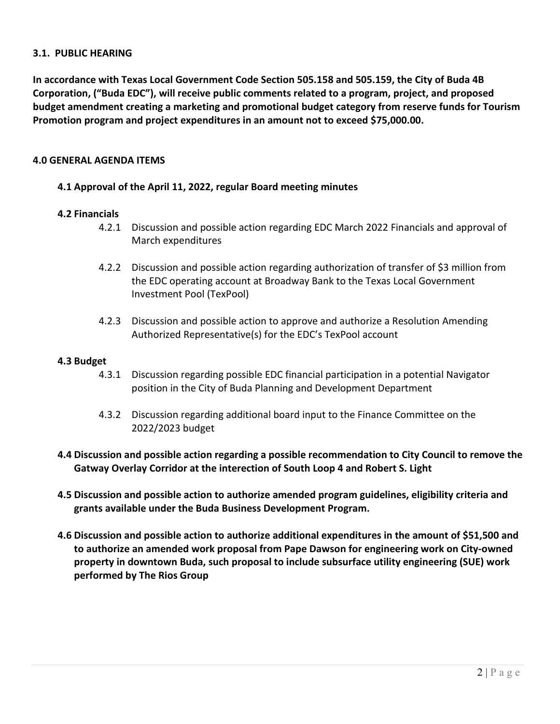## **3.1. PUBLIC HEARING**

**In accordance with Texas Local Government Code Section 505.158 and 505.159, the City of Buda 4B Corporation, ("Buda EDC"), will receive public comments related to a program, project, and proposed budget amendment creating a marketing and promotional budget category from reserve funds for Tourism Promotion program and project expenditures in an amount not to exceed \$75,000.00.** 

## **4.0 GENERAL AGENDA ITEMS**

# **4.1 Approval of the April 11, 2022, regular Board meeting minutes**

## **4.2 Financials**

- 4.2.1 Discussion and possible action regarding EDC March 2022 Financials and approval of March expenditures
- 4.2.2 Discussion and possible action regarding authorization of transfer of \$3 million from the EDC operating account at Broadway Bank to the Texas Local Government Investment Pool (TexPool)
- 4.2.3 Discussion and possible action to approve and authorize a Resolution Amending Authorized Representative(s) for the EDC's TexPool account

#### **4.3 Budget**

- 4.3.1 Discussion regarding possible EDC financial participation in a potential Navigator position in the City of Buda Planning and Development Department
- 4.3.2 Discussion regarding additional board input to the Finance Committee on the 2022/2023 budget
- **4.4 Discussion and possible action regarding a possible recommendation to City Council to remove the Gatway Overlay Corridor at the interection of South Loop 4 and Robert S. Light**
- **4.5 Discussion and possible action to authorize amended program guidelines, eligibility criteria and grants available under the Buda Business Development Program.**
- **4.6 Discussion and possible action to authorize additional expenditures in the amount of \$51,500 and to authorize an amended work proposal from Pape Dawson for engineering work on City-owned property in downtown Buda, such proposal to include subsurface utility engineering (SUE) work performed by The Rios Group**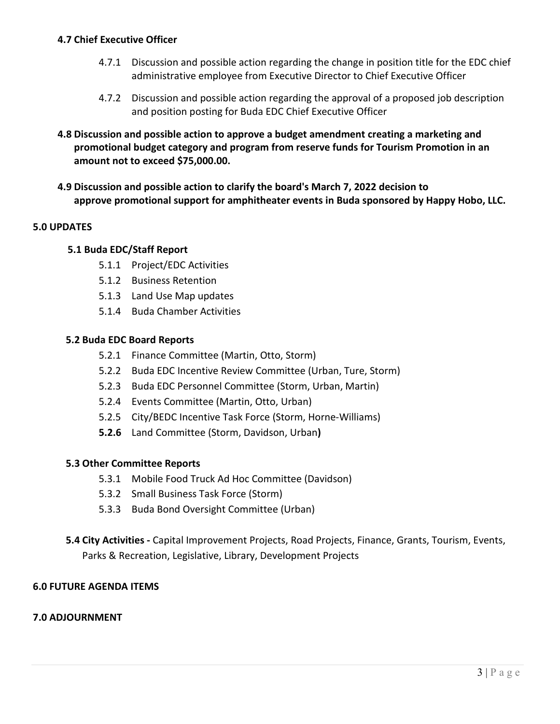# **4.7 Chief Executive Officer**

- 4.7.1 Discussion and possible action regarding the change in position title for the EDC chief administrative employee from Executive Director to Chief Executive Officer
- 4.7.2 Discussion and possible action regarding the approval of a proposed job description and position posting for Buda EDC Chief Executive Officer
- **4.8 Discussion and possible action to approve a budget amendment creating a marketing and promotional budget category and program from reserve funds for Tourism Promotion in an amount not to exceed \$75,000.00.**
- **4.9 Discussion and possible action to clarify the board's March 7, 2022 decision to approve promotional support for amphitheater events in Buda sponsored by Happy Hobo, LLC.**

# **5.0 UPDATES**

# **5.1 Buda EDC/Staff Report**

- 5.1.1 Project/EDC Activities
- 5.1.2 Business Retention
- 5.1.3 Land Use Map updates
- 5.1.4 Buda Chamber Activities

## **5.2 Buda EDC Board Reports**

- 5.2.1 Finance Committee (Martin, Otto, Storm)
- 5.2.2 Buda EDC Incentive Review Committee (Urban, Ture, Storm)
- 5.2.3 Buda EDC Personnel Committee (Storm, Urban, Martin)
- 5.2.4 Events Committee (Martin, Otto, Urban)
- 5.2.5 City/BEDC Incentive Task Force (Storm, Horne-Williams)
- **5.2.6** Land Committee (Storm, Davidson, Urban**)**

## **5.3 Other Committee Reports**

- 5.3.1 Mobile Food Truck Ad Hoc Committee (Davidson)
- 5.3.2 Small Business Task Force (Storm)
- 5.3.3 Buda Bond Oversight Committee (Urban)
- **5.4 City Activities -** Capital Improvement Projects, Road Projects, Finance, Grants, Tourism, Events, Parks & Recreation, Legislative, Library, Development Projects

## **6.0 FUTURE AGENDA ITEMS**

#### **7.0 ADJOURNMENT**